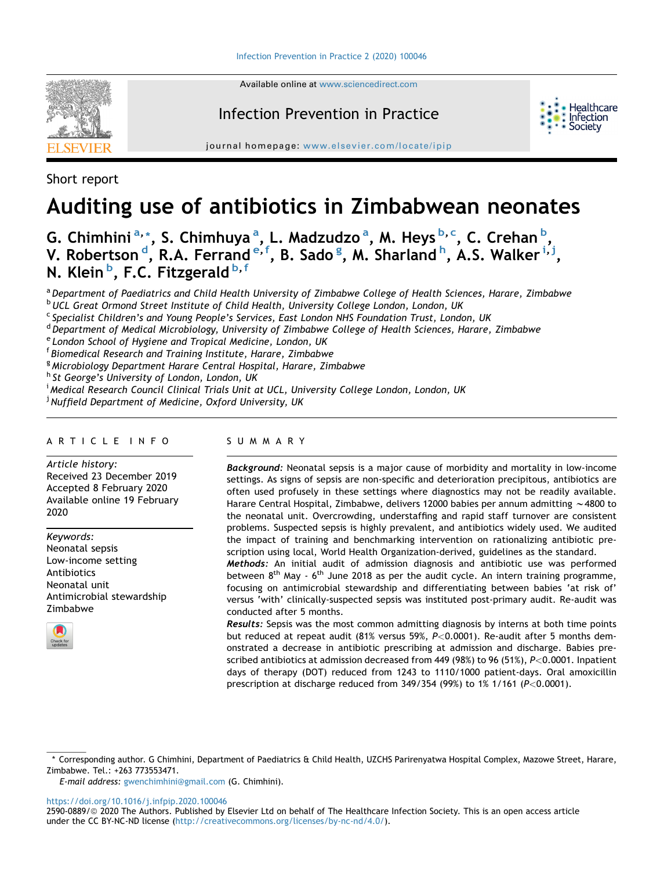

Available online at [www.sciencedirect.com](www.sciencedirect.com/science/journal/25900889)

# Infection Prevention in Practice



journal homepage: <www.elsevier.com/locate/ipip>

Short report

# Auditing use of antibiotics in Zimbabwean neonates

G. Chimhini<sup>[a,](#page-0-0)</sup>[\\*](#page-0-1), S. Chimhuy[a](#page-0-0)<sup>a</sup>, L. Madzudzoa, M. Heys<sup>[b,](#page-0-2)[c](#page-0-3)</sup>, C. Crehan<sup>[b](#page-0-2)</sup>, V. Robertson <sup>[d](#page-0-4)</sup>, R.A. Ferrand <sup>[e,](#page-0-5) [f](#page-0-6)</sup>, B. Sado <sup>[g](#page-0-7)</sup>, M. S[h](#page-0-8)arland h, A.S. Walker <sup>[i](#page-0-9), [j](#page-0-10)</sup>, N. Klein <sup>[b](#page-0-2)</sup>, F.C. Fitzgerald <sup>[b,](#page-0-2) [f](#page-0-6)</sup>

<span id="page-0-0"></span>a Department of Paediatrics and Child Health University of Zimbabwe College of Health Sciences, Harare, Zimbabwe <sup>b</sup> UCL Great Ormond Street Institute of Child Health, University College London, London, UK

<span id="page-0-3"></span><span id="page-0-2"></span><sup>c</sup> Specialist Children's and Young People's Services, East London NHS Foundation Trust, London, UK

<span id="page-0-4"></span><sup>d</sup> Department of Medical Microbiology, University of Zimbabwe College of Health Sciences, Harare, Zimbabwe

<span id="page-0-5"></span><sup>e</sup> London School of Hygiene and Tropical Medicine, London, UK

<span id="page-0-6"></span><sup>f</sup> Biomedical Research and Training Institute, Harare, Zimbabwe

<span id="page-0-7"></span><sup>g</sup> Microbiology Department Harare Central Hospital, Harare, Zimbabwe

<span id="page-0-8"></span>h St George's University of London, London, UK

<span id="page-0-9"></span><sup>i</sup> Medical Research Council Clinical Trials Unit at UCL, University College London, London, UK

<span id="page-0-10"></span><sup>j</sup> Nuffield Department of Medicine, Oxford University, UK

#### ARTICLE INFO

Article history: Received 23 December 2019 Accepted 8 February 2020 Available online 19 February 2020

Keywords: Neonatal sepsis Low-income setting Antibiotics Neonatal unit Antimicrobial stewardship Zimbabwe



#### SUMMARY

Background: Neonatal sepsis is a major cause of morbidity and mortality in low-income settings. As signs of sepsis are non-specific and deterioration precipitous, antibiotics are often used profusely in these settings where diagnostics may not be readily available. Harare Central Hospital, Zimbabwe, delivers 12000 babies per annum admitting  $\sim$  4800 to the neonatal unit. Overcrowding, understaffing and rapid staff turnover are consistent problems. Suspected sepsis is highly prevalent, and antibiotics widely used. We audited the impact of training and benchmarking intervention on rationalizing antibiotic prescription using local, World Health Organization-derived, guidelines as the standard.

Methods: An initial audit of admission diagnosis and antibiotic use was performed between  $8<sup>th</sup>$  May -  $6<sup>th</sup>$  June 2018 as per the audit cycle. An intern training programme, focusing on antimicrobial stewardship and differentiating between babies 'at risk of' versus 'with' clinically-suspected sepsis was instituted post-primary audit. Re-audit was conducted after 5 months.

Results: Sepsis was the most common admitting diagnosis by interns at both time points but reduced at repeat audit (81% versus 59%,  $P<0.0001$ ). Re-audit after 5 months demonstrated a decrease in antibiotic prescribing at admission and discharge. Babies prescribed antibiotics at admission decreased from 449 (98%) to 96 (51%), P<0.0001. Inpatient days of therapy (DOT) reduced from 1243 to 1110/1000 patient-days. Oral amoxicillin prescription at discharge reduced from 349/354 (99%) to 1% 1/161 (P<0.0001).

<https://doi.org/10.1016/j.infpip.2020.100046>

<span id="page-0-1"></span><sup>\*</sup> Corresponding author. G Chimhini, Department of Paediatrics & Child Health, UZCHS Parirenyatwa Hospital Complex, Mazowe Street, Harare, Zimbabwe. Tel.: +263 773553471.

E-mail address: [gwenchimhini@gmail.com](mailto:gwenchimhini@gmail.com) (G. Chimhini).

<sup>2590-0889/@ 2020</sup> The Authors. Published by Elsevier Ltd on behalf of The Healthcare Infection Society. This is an open access article under the CC BY-NC-ND license [\(http://creativecommons.org/licenses/by-nc-nd/4.0/\)](http://creativecommons.org/licenses/by-nc-nd/4.0/).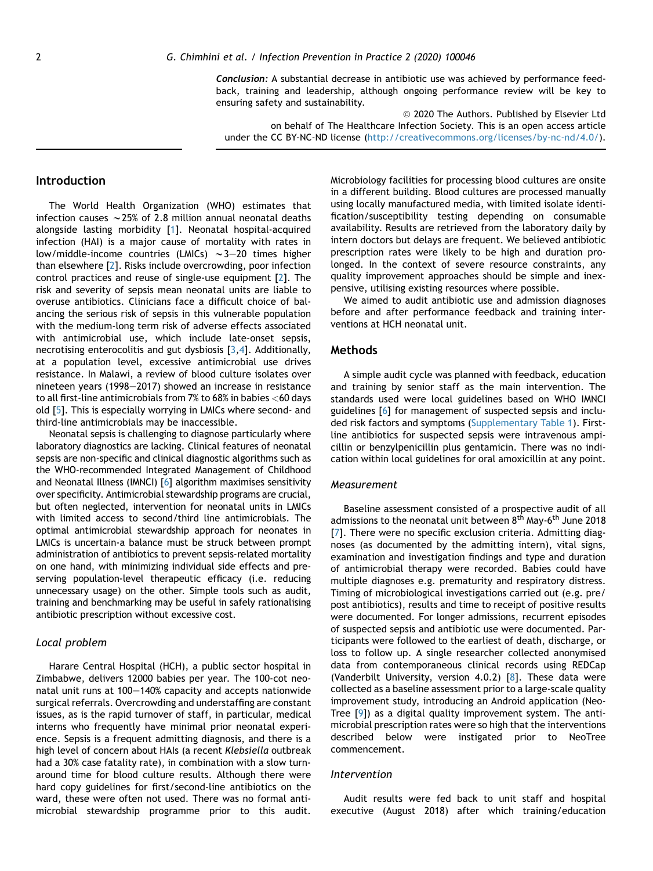Conclusion: A substantial decrease in antibiotic use was achieved by performance feedback, training and leadership, although ongoing performance review will be key to ensuring safety and sustainability.

<sup>©</sup> 2020 The Authors. Published by Elsevier Ltd on behalf of The Healthcare Infection Society. This is an open access article under the CC BY-NC-ND license [\(http://creativecommons.org/licenses/by-nc-nd/4.0/](http://creativecommons.org/licenses/by-nc-nd/4.0/)).

# Introduction

The World Health Organization (WHO) estimates that infection causes  $\sim$  25% of 2.8 million annual neonatal deaths alongside lasting morbidity [\[1](#page-4-0)]. Neonatal hospital-acquired infection (HAI) is a major cause of mortality with rates in low/middle-income countries (LMICs)  $\sim$ 3-20 times higher than elsewhere [\[2\]](#page-4-1). Risks include overcrowding, poor infection control practices and reuse of single-use equipment [\[2\]](#page-4-1). The risk and severity of sepsis mean neonatal units are liable to overuse antibiotics. Clinicians face a difficult choice of balancing the serious risk of sepsis in this vulnerable population with the medium-long term risk of adverse effects associated with antimicrobial use, which include late-onset sepsis, necrotising enterocolitis and gut dysbiosis [\[3](#page-4-2)[,4](#page-4-3)]. Additionally, at a population level, excessive antimicrobial use drives resistance. In Malawi, a review of blood culture isolates over nineteen years (1998–2017) showed an increase in resistance to all first-line antimicrobials from 7% to 68% in babies <60 days old [\[5\]](#page-4-4). This is especially worrying in LMICs where second- and third-line antimicrobials may be inaccessible.

Neonatal sepsis is challenging to diagnose particularly where laboratory diagnostics are lacking. Clinical features of neonatal sepsis are non-specific and clinical diagnostic algorithms such as the WHO-recommended Integrated Management of Childhood and Neonatal Illness (IMNCI) [[6](#page-4-5)] algorithm maximises sensitivity over specificity. Antimicrobial stewardship programs are crucial, but often neglected, intervention for neonatal units in LMICs with limited access to second/third line antimicrobials. The optimal antimicrobial stewardship approach for neonates in LMICs is uncertain-a balance must be struck between prompt administration of antibiotics to prevent sepsis-related mortality on one hand, with minimizing individual side effects and preserving population-level therapeutic efficacy (i.e. reducing unnecessary usage) on the other. Simple tools such as audit, training and benchmarking may be useful in safely rationalising antibiotic prescription without excessive cost.

# Local problem

Harare Central Hospital (HCH), a public sector hospital in Zimbabwe, delivers 12000 babies per year. The 100-cot neonatal unit runs at  $100-140%$  capacity and accepts nationwide surgical referrals. Overcrowding and understaffing are constant issues, as is the rapid turnover of staff, in particular, medical interns who frequently have minimal prior neonatal experience. Sepsis is a frequent admitting diagnosis, and there is a high level of concern about HAIs (a recent Klebsiella outbreak had a 30% case fatality rate), in combination with a slow turnaround time for blood culture results. Although there were hard copy guidelines for first/second-line antibiotics on the ward, these were often not used. There was no formal antimicrobial stewardship programme prior to this audit. Microbiology facilities for processing blood cultures are onsite in a different building. Blood cultures are processed manually using locally manufactured media, with limited isolate identification/susceptibility testing depending on consumable availability. Results are retrieved from the laboratory daily by intern doctors but delays are frequent. We believed antibiotic prescription rates were likely to be high and duration prolonged. In the context of severe resource constraints, any quality improvement approaches should be simple and inexpensive, utilising existing resources where possible.

We aimed to audit antibiotic use and admission diagnoses before and after performance feedback and training interventions at HCH neonatal unit.

## Methods

A simple audit cycle was planned with feedback, education and training by senior staff as the main intervention. The standards used were local guidelines based on WHO IMNCI guidelines [[6\]](#page-4-5) for management of suspected sepsis and included risk factors and symptoms (Supplementary Table 1). Firstline antibiotics for suspected sepsis were intravenous ampicillin or benzylpenicillin plus gentamicin. There was no indication within local guidelines for oral amoxicillin at any point.

#### Measurement

Baseline assessment consisted of a prospective audit of all admissions to the neonatal unit between 8<sup>th</sup> May-6<sup>th</sup> June 2018 [\[7\]](#page-4-6). There were no specific exclusion criteria. Admitting diagnoses (as documented by the admitting intern), vital signs, examination and investigation findings and type and duration of antimicrobial therapy were recorded. Babies could have multiple diagnoses e.g. prematurity and respiratory distress. Timing of microbiological investigations carried out (e.g. pre/ post antibiotics), results and time to receipt of positive results were documented. For longer admissions, recurrent episodes of suspected sepsis and antibiotic use were documented. Participants were followed to the earliest of death, discharge, or loss to follow up. A single researcher collected anonymised data from contemporaneous clinical records using REDCap (Vanderbilt University, version 4.0.2) [\[8\]](#page-4-7). These data were collected as a baseline assessment prior to a large-scale quality improvement study, introducing an Android application (Neo-Tree [[9\]](#page-5-0)) as a digital quality improvement system. The antimicrobial prescription rates were so high that the interventions described below were instigated prior to NeoTree commencement.

#### Intervention

Audit results were fed back to unit staff and hospital executive (August 2018) after which training/education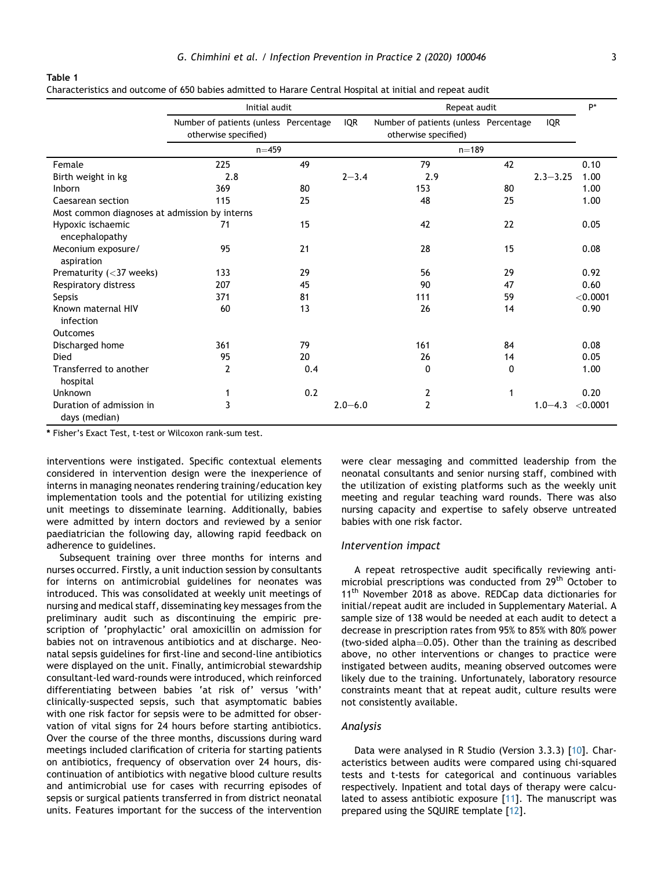|                                               | Initial audit                                                 |     |             | Repeat audit                                                  |    |              | P*       |
|-----------------------------------------------|---------------------------------------------------------------|-----|-------------|---------------------------------------------------------------|----|--------------|----------|
|                                               | Number of patients (unless Percentage<br>otherwise specified) |     | <b>IQR</b>  | Number of patients (unless Percentage<br>otherwise specified) |    | <b>IQR</b>   |          |
|                                               | $n = 459$                                                     |     |             | $n = 189$                                                     |    |              |          |
| Female                                        | 225                                                           | 49  |             | 79                                                            | 42 |              | 0.10     |
| Birth weight in kg                            | 2.8                                                           |     | $2 - 3.4$   | 2.9                                                           |    | $2.3 - 3.25$ | 1.00     |
| Inborn                                        | 369                                                           | 80  |             | 153                                                           | 80 |              | 1.00     |
| Caesarean section                             | 115                                                           | 25  |             | 48                                                            | 25 |              | 1.00     |
| Most common diagnoses at admission by interns |                                                               |     |             |                                                               |    |              |          |
| Hypoxic ischaemic<br>encephalopathy           | 71                                                            | 15  |             | 42                                                            | 22 |              | 0.05     |
| Meconium exposure/<br>aspiration              | 95                                                            | 21  |             | 28                                                            | 15 |              | 0.08     |
| Prematurity $(<$ 37 weeks)                    | 133                                                           | 29  |             | 56                                                            | 29 |              | 0.92     |
| Respiratory distress                          | 207                                                           | 45  |             | 90                                                            | 47 |              | 0.60     |
| Sepsis                                        | 371                                                           | 81  |             | 111                                                           | 59 |              | < 0.0001 |
| Known maternal HIV<br>infection               | 60                                                            | 13  |             | 26                                                            | 14 |              | 0.90     |
| Outcomes                                      |                                                               |     |             |                                                               |    |              |          |
| Discharged home                               | 361                                                           | 79  |             | 161                                                           | 84 |              | 0.08     |
| Died                                          | 95                                                            | 20  |             | 26                                                            | 14 |              | 0.05     |
| Transferred to another<br>hospital            | 2                                                             | 0.4 |             | 0                                                             | 0  |              | 1.00     |
| Unknown                                       |                                                               | 0.2 |             | $\frac{2}{2}$                                                 |    |              | 0.20     |
| Duration of admission in<br>days (median)     | 3                                                             |     | $2.0 - 6.0$ |                                                               |    | $1.0 - 4.3$  | < 0.0001 |

Characteristics and outcome of 650 babies admitted to Harare Central Hospital at initial and repeat audit

\* Fisher's Exact Test, t-test or Wilcoxon rank-sum test.

<span id="page-2-0"></span>Table 1

interventions were instigated. Specific contextual elements considered in intervention design were the inexperience of interns in managing neonates rendering training/education key implementation tools and the potential for utilizing existing unit meetings to disseminate learning. Additionally, babies were admitted by intern doctors and reviewed by a senior paediatrician the following day, allowing rapid feedback on adherence to guidelines.

Subsequent training over three months for interns and nurses occurred. Firstly, a unit induction session by consultants for interns on antimicrobial guidelines for neonates was introduced. This was consolidated at weekly unit meetings of nursing and medical staff, disseminating key messages from the preliminary audit such as discontinuing the empiric prescription of 'prophylactic' oral amoxicillin on admission for babies not on intravenous antibiotics and at discharge. Neonatal sepsis guidelines for first-line and second-line antibiotics were displayed on the unit. Finally, antimicrobial stewardship consultant-led ward-rounds were introduced, which reinforced differentiating between babies 'at risk of' versus 'with' clinically-suspected sepsis, such that asymptomatic babies with one risk factor for sepsis were to be admitted for observation of vital signs for 24 hours before starting antibiotics. Over the course of the three months, discussions during ward meetings included clarification of criteria for starting patients on antibiotics, frequency of observation over 24 hours, discontinuation of antibiotics with negative blood culture results and antimicrobial use for cases with recurring episodes of sepsis or surgical patients transferred in from district neonatal units. Features important for the success of the intervention

were clear messaging and committed leadership from the neonatal consultants and senior nursing staff, combined with the utilization of existing platforms such as the weekly unit meeting and regular teaching ward rounds. There was also nursing capacity and expertise to safely observe untreated babies with one risk factor.

#### Intervention impact

A repeat retrospective audit specifically reviewing antimicrobial prescriptions was conducted from 29th October to 11<sup>th</sup> November 2018 as above. REDCap data dictionaries for initial/repeat audit are included in Supplementary Material. A sample size of 138 would be needed at each audit to detect a decrease in prescription rates from 95% to 85% with 80% power (two-sided alpha= $0.05$ ). Other than the training as described above, no other interventions or changes to practice were instigated between audits, meaning observed outcomes were likely due to the training. Unfortunately, laboratory resource constraints meant that at repeat audit, culture results were not consistently available.

#### Analysis

Data were analysed in R Studio (Version 3.3.3) [[10\]](#page-5-1). Characteristics between audits were compared using chi-squared tests and t-tests for categorical and continuous variables respectively. Inpatient and total days of therapy were calculated to assess antibiotic exposure [\[11](#page-5-2)]. The manuscript was prepared using the SQUIRE template [[12\]](#page-5-3).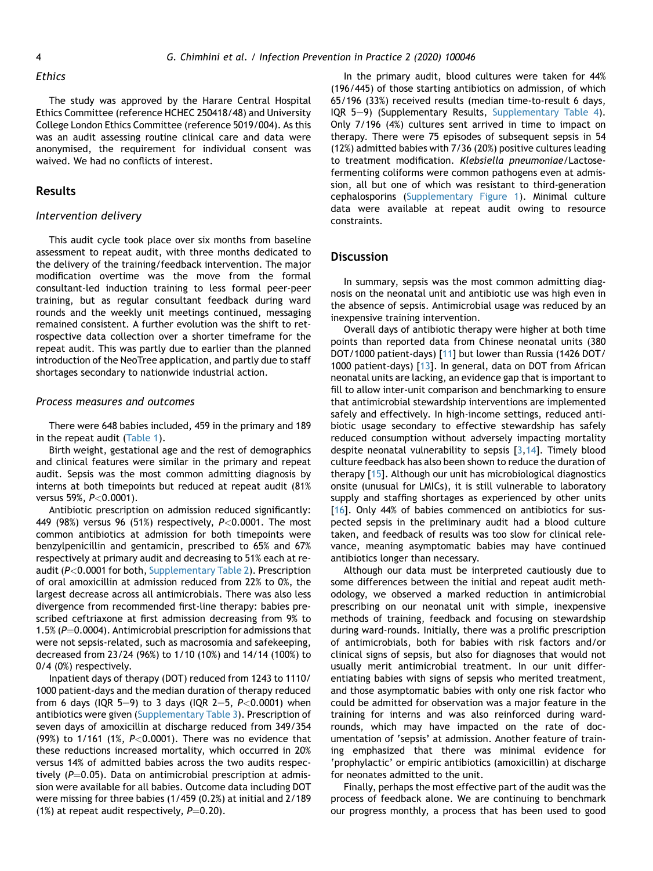#### **Fthics**

The study was approved by the Harare Central Hospital Ethics Committee (reference HCHEC 250418/48) and University College London Ethics Committee (reference 5019/004). As this was an audit assessing routine clinical care and data were anonymised, the requirement for individual consent was waived. We had no conflicts of interest.

# Results

#### Intervention delivery

This audit cycle took place over six months from baseline assessment to repeat audit, with three months dedicated to the delivery of the training/feedback intervention. The major modification overtime was the move from the formal consultant-led induction training to less formal peer-peer training, but as regular consultant feedback during ward rounds and the weekly unit meetings continued, messaging remained consistent. A further evolution was the shift to retrospective data collection over a shorter timeframe for the repeat audit. This was partly due to earlier than the planned introduction of the NeoTree application, and partly due to staff shortages secondary to nationwide industrial action.

#### Process measures and outcomes

There were 648 babies included, 459 in the primary and 189 in the repeat audit [\(Table 1\)](#page-2-0).

Birth weight, gestational age and the rest of demographics and clinical features were similar in the primary and repeat audit. Sepsis was the most common admitting diagnosis by interns at both timepoints but reduced at repeat audit (81% versus 59%, P<0.0001).

Antibiotic prescription on admission reduced significantly: 449 (98%) versus 96 (51%) respectively, P<0.0001. The most common antibiotics at admission for both timepoints were benzylpenicillin and gentamicin, prescribed to 65% and 67% respectively at primary audit and decreasing to 51% each at reaudit (P<0.0001 for both, Supplementary Table 2). Prescription of oral amoxicillin at admission reduced from 22% to 0%, the largest decrease across all antimicrobials. There was also less divergence from recommended first-line therapy: babies prescribed ceftriaxone at first admission decreasing from 9% to 1.5% ( $P=0.0004$ ). Antimicrobial prescription for admissions that were not sepsis-related, such as macrosomia and safekeeping, decreased from 23/24 (96%) to 1/10 (10%) and 14/14 (100%) to 0/4 (0%) respectively.

Inpatient days of therapy (DOT) reduced from 1243 to 1110/ 1000 patient-days and the median duration of therapy reduced from 6 days (IQR 5-9) to 3 days (IQR 2-5,  $P < 0.0001$ ) when antibiotics were given (Supplementary Table 3). Prescription of seven days of amoxicillin at discharge reduced from 349/354 (99%) to  $1/161$  (1%,  $P<0.0001$ ). There was no evidence that these reductions increased mortality, which occurred in 20% versus 14% of admitted babies across the two audits respectively  $(P=0.05)$ . Data on antimicrobial prescription at admission were available for all babies. Outcome data including DOT were missing for three babies (1/459 (0.2%) at initial and 2/189 (1%) at repeat audit respectively,  $P=0.20$ ).

In the primary audit, blood cultures were taken for 44% (196/445) of those starting antibiotics on admission, of which 65/196 (33%) received results (median time-to-result 6 days, IQR 5-9) (Supplementary Results, Supplementary Table 4). Only 7/196 (4%) cultures sent arrived in time to impact on therapy. There were 75 episodes of subsequent sepsis in 54 (12%) admitted babies with 7/36 (20%) positive cultures leading to treatment modification. Klebsiella pneumoniae/Lactosefermenting coliforms were common pathogens even at admission, all but one of which was resistant to third-generation cephalosporins (Supplementary Figure 1). Minimal culture data were available at repeat audit owing to resource constraints.

# **Discussion**

In summary, sepsis was the most common admitting diagnosis on the neonatal unit and antibiotic use was high even in the absence of sepsis. Antimicrobial usage was reduced by an inexpensive training intervention.

Overall days of antibiotic therapy were higher at both time points than reported data from Chinese neonatal units (380 DOT/1000 patient-days) [[11](#page-5-2)] but lower than Russia (1426 DOT/ 1000 patient-days) [\[13\]](#page-5-4). In general, data on DOT from African neonatal units are lacking, an evidence gap that is important to fill to allow inter-unit comparison and benchmarking to ensure that antimicrobial stewardship interventions are implemented safely and effectively. In high-income settings, reduced antibiotic usage secondary to effective stewardship has safely reduced consumption without adversely impacting mortality despite neonatal vulnerability to sepsis [[3,](#page-4-2)[14](#page-5-5)]. Timely blood culture feedback has also been shown to reduce the duration of therapy [[15\]](#page-5-6). Although our unit has microbiological diagnostics onsite (unusual for LMICs), it is still vulnerable to laboratory supply and staffing shortages as experienced by other units [\[16](#page-5-7)]. Only 44% of babies commenced on antibiotics for suspected sepsis in the preliminary audit had a blood culture taken, and feedback of results was too slow for clinical relevance, meaning asymptomatic babies may have continued antibiotics longer than necessary.

Although our data must be interpreted cautiously due to some differences between the initial and repeat audit methodology, we observed a marked reduction in antimicrobial prescribing on our neonatal unit with simple, inexpensive methods of training, feedback and focusing on stewardship during ward-rounds. Initially, there was a prolific prescription of antimicrobials, both for babies with risk factors and/or clinical signs of sepsis, but also for diagnoses that would not usually merit antimicrobial treatment. In our unit differentiating babies with signs of sepsis who merited treatment, and those asymptomatic babies with only one risk factor who could be admitted for observation was a major feature in the training for interns and was also reinforced during wardrounds, which may have impacted on the rate of documentation of 'sepsis' at admission. Another feature of training emphasized that there was minimal evidence for 'prophylactic' or empiric antibiotics (amoxicillin) at discharge for neonates admitted to the unit.

Finally, perhaps the most effective part of the audit was the process of feedback alone. We are continuing to benchmark our progress monthly, a process that has been used to good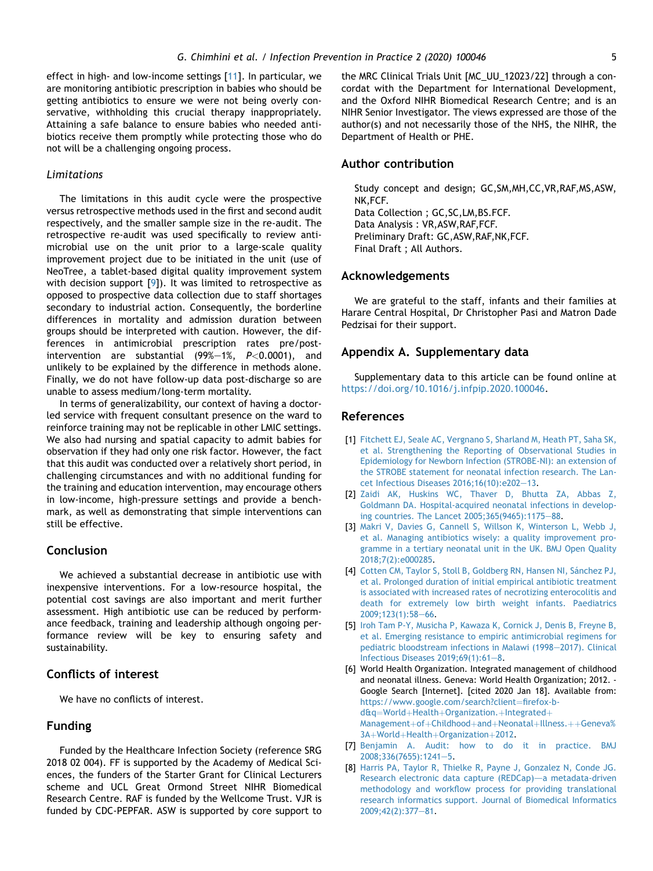effect in high- and low-income settings [[11](#page-5-2)]. In particular, we are monitoring antibiotic prescription in babies who should be getting antibiotics to ensure we were not being overly conservative, withholding this crucial therapy inappropriately. Attaining a safe balance to ensure babies who needed antibiotics receive them promptly while protecting those who do not will be a challenging ongoing process.

#### Limitations

The limitations in this audit cycle were the prospective versus retrospective methods used in the first and second audit respectively, and the smaller sample size in the re-audit. The retrospective re-audit was used specifically to review antimicrobial use on the unit prior to a large-scale quality improvement project due to be initiated in the unit (use of NeoTree, a tablet-based digital quality improvement system with decision support [[9](#page-5-0)]). It was limited to retrospective as opposed to prospective data collection due to staff shortages secondary to industrial action. Consequently, the borderline differences in mortality and admission duration between groups should be interpreted with caution. However, the differences in antimicrobial prescription rates pre/postintervention are substantial  $(99\% - 1\%, P < 0.0001)$ , and unlikely to be explained by the difference in methods alone. Finally, we do not have follow-up data post-discharge so are unable to assess medium/long-term mortality.

In terms of generalizability, our context of having a doctorled service with frequent consultant presence on the ward to reinforce training may not be replicable in other LMIC settings. We also had nursing and spatial capacity to admit babies for observation if they had only one risk factor. However, the fact that this audit was conducted over a relatively short period, in challenging circumstances and with no additional funding for the training and education intervention, may encourage others in low-income, high-pressure settings and provide a benchmark, as well as demonstrating that simple interventions can still be effective.

# Conclusion

We achieved a substantial decrease in antibiotic use with inexpensive interventions. For a low-resource hospital, the potential cost savings are also important and merit further assessment. High antibiotic use can be reduced by performance feedback, training and leadership although ongoing performance review will be key to ensuring safety and sustainability.

# Conflicts of interest

We have no conflicts of interest.

# Funding

Funded by the Healthcare Infection Society (reference SRG 2018 02 004). FF is supported by the Academy of Medical Sciences, the funders of the Starter Grant for Clinical Lecturers scheme and UCL Great Ormond Street NIHR Biomedical Research Centre. RAF is funded by the Wellcome Trust. VJR is funded by CDC-PEPFAR. ASW is supported by core support to

the MRC Clinical Trials Unit [MC\_UU\_12023/22] through a concordat with the Department for International Development, and the Oxford NIHR Biomedical Research Centre; and is an NIHR Senior Investigator. The views expressed are those of the author(s) and not necessarily those of the NHS, the NIHR, the Department of Health or PHE.

#### Author contribution

Study concept and design; GC,SM,MH,CC,VR,RAF,MS,ASW, NK,FCF. Data Collection ; GC,SC,LM,BS.FCF. Data Analysis : VR,ASW,RAF,FCF. Preliminary Draft: GC,ASW,RAF,NK,FCF. Final Draft ; All Authors.

#### Acknowledgements

We are grateful to the staff, infants and their families at Harare Central Hospital, Dr Christopher Pasi and Matron Dade Pedzisai for their support.

# Appendix A. Supplementary data

Supplementary data to this article can be found online at <https://doi.org/10.1016/j.infpip.2020.100046>.

# <span id="page-4-0"></span>References

- [1] [Fitchett EJ, Seale AC, Vergnano S, Sharland M, Heath PT, Saha SK,](http://refhub.elsevier.com/S2590-0889(20)30010-X/sref1) [et al. Strengthening the Reporting of Observational Studies in](http://refhub.elsevier.com/S2590-0889(20)30010-X/sref1) [Epidemiology for Newborn Infection \(STROBE-NI\): an extension of](http://refhub.elsevier.com/S2590-0889(20)30010-X/sref1) [the STROBE statement for neonatal infection research. The Lan](http://refhub.elsevier.com/S2590-0889(20)30010-X/sref1)cet Infectious Diseases  $2016;16(10):e202-13$  $2016;16(10):e202-13$ .
- <span id="page-4-1"></span>[2] [Zaidi AK, Huskins WC, Thaver D, Bhutta ZA, Abbas Z,](http://refhub.elsevier.com/S2590-0889(20)30010-X/sref2) [Goldmann DA. Hospital-acquired neonatal infections in develop](http://refhub.elsevier.com/S2590-0889(20)30010-X/sref2)[ing countries. The Lancet 2005;365\(9465\):1175](http://refhub.elsevier.com/S2590-0889(20)30010-X/sref2)-[88.](http://refhub.elsevier.com/S2590-0889(20)30010-X/sref2)
- <span id="page-4-2"></span>[3] [Makri V, Davies G, Cannell S, Willson K, Winterson L, Webb J,](http://refhub.elsevier.com/S2590-0889(20)30010-X/sref3) [et al. Managing antibiotics wisely: a quality improvement pro](http://refhub.elsevier.com/S2590-0889(20)30010-X/sref3)[gramme in a tertiary neonatal unit in the UK. BMJ Open Quality](http://refhub.elsevier.com/S2590-0889(20)30010-X/sref3) [2018;7\(2\):e000285](http://refhub.elsevier.com/S2590-0889(20)30010-X/sref3).
- <span id="page-4-3"></span>[4] Cotten CM, Taylor S, Stoll B, Goldberg RN, Hansen NI, Sánchez PJ, [et al. Prolonged duration of initial empirical antibiotic treatment](http://refhub.elsevier.com/S2590-0889(20)30010-X/sref4) [is associated with increased rates of necrotizing enterocolitis and](http://refhub.elsevier.com/S2590-0889(20)30010-X/sref4) [death for extremely low birth weight infants. Paediatrics](http://refhub.elsevier.com/S2590-0889(20)30010-X/sref4)  $2009;123(1):58-66.$  $2009;123(1):58-66.$  $2009;123(1):58-66.$  $2009;123(1):58-66.$
- <span id="page-4-4"></span>[5] [Iroh Tam P-Y, Musicha P, Kawaza K, Cornick J, Denis B, Freyne B,](http://refhub.elsevier.com/S2590-0889(20)30010-X/sref5) [et al. Emerging resistance to empiric antimicrobial regimens for](http://refhub.elsevier.com/S2590-0889(20)30010-X/sref5) [pediatric bloodstream infections in Malawi \(1998](http://refhub.elsevier.com/S2590-0889(20)30010-X/sref5)-[2017\). Clinical](http://refhub.elsevier.com/S2590-0889(20)30010-X/sref5) Infectious Diseases  $2019;69(1):61-8$  $2019;69(1):61-8$ .
- <span id="page-4-5"></span>[6] World Health Organization. Integrated management of childhood and neonatal illness. Geneva: World Health Organization; 2012. - Google Search [Internet]. [cited 2020 Jan 18]. Available from: [https://www.google.com/search?client](https://www.google.com/search?client=firefox-b-d&q=World+Health+Organization.+Integrated+Management+of+Childhood+and+Neonatal+Illness.++Geneva%3A+World+Health+Organization+2012)=[firefox-b](https://www.google.com/search?client=firefox-b-d&q=World+Health+Organization.+Integrated+Management+of+Childhood+and+Neonatal+Illness.++Geneva%3A+World+Health+Organization+2012)[d&q](https://www.google.com/search?client=firefox-b-d&q=World+Health+Organization.+Integrated+Management+of+Childhood+and+Neonatal+Illness.++Geneva%3A+World+Health+Organization+2012)=[World](https://www.google.com/search?client=firefox-b-d&q=World+Health+Organization.+Integrated+Management+of+Childhood+and+Neonatal+Illness.++Geneva%3A+World+Health+Organization+2012)+[Health](https://www.google.com/search?client=firefox-b-d&q=World+Health+Organization.+Integrated+Management+of+Childhood+and+Neonatal+Illness.++Geneva%3A+World+Health+Organization+2012)+[Organization.](https://www.google.com/search?client=firefox-b-d&q=World+Health+Organization.+Integrated+Management+of+Childhood+and+Neonatal+Illness.++Geneva%3A+World+Health+Organization+2012)+[Integrated](https://www.google.com/search?client=firefox-b-d&q=World+Health+Organization.+Integrated+Management+of+Childhood+and+Neonatal+Illness.++Geneva%3A+World+Health+Organization+2012)+ [Management](https://www.google.com/search?client=firefox-b-d&q=World+Health+Organization.+Integrated+Management+of+Childhood+and+Neonatal+Illness.++Geneva%3A+World+Health+Organization+2012)+[of](https://www.google.com/search?client=firefox-b-d&q=World+Health+Organization.+Integrated+Management+of+Childhood+and+Neonatal+Illness.++Geneva%3A+World+Health+Organization+2012)+[Childhood](https://www.google.com/search?client=firefox-b-d&q=World+Health+Organization.+Integrated+Management+of+Childhood+and+Neonatal+Illness.++Geneva%3A+World+Health+Organization+2012)+[and](https://www.google.com/search?client=firefox-b-d&q=World+Health+Organization.+Integrated+Management+of+Childhood+and+Neonatal+Illness.++Geneva%3A+World+Health+Organization+2012)+[Neonatal](https://www.google.com/search?client=firefox-b-d&q=World+Health+Organization.+Integrated+Management+of+Childhood+and+Neonatal+Illness.++Geneva%3A+World+Health+Organization+2012)+[Illness.](https://www.google.com/search?client=firefox-b-d&q=World+Health+Organization.+Integrated+Management+of+Childhood+and+Neonatal+Illness.++Geneva%3A+World+Health+Organization+2012)++[Geneva%](https://www.google.com/search?client=firefox-b-d&q=World+Health+Organization.+Integrated+Management+of+Childhood+and+Neonatal+Illness.++Geneva%3A+World+Health+Organization+2012) [3A](https://www.google.com/search?client=firefox-b-d&q=World+Health+Organization.+Integrated+Management+of+Childhood+and+Neonatal+Illness.++Geneva%3A+World+Health+Organization+2012)+[World](https://www.google.com/search?client=firefox-b-d&q=World+Health+Organization.+Integrated+Management+of+Childhood+and+Neonatal+Illness.++Geneva%3A+World+Health+Organization+2012)+[Health](https://www.google.com/search?client=firefox-b-d&q=World+Health+Organization.+Integrated+Management+of+Childhood+and+Neonatal+Illness.++Geneva%3A+World+Health+Organization+2012)+[Organization](https://www.google.com/search?client=firefox-b-d&q=World+Health+Organization.+Integrated+Management+of+Childhood+and+Neonatal+Illness.++Geneva%3A+World+Health+Organization+2012)+[2012.](https://www.google.com/search?client=firefox-b-d&q=World+Health+Organization.+Integrated+Management+of+Childhood+and+Neonatal+Illness.++Geneva%3A+World+Health+Organization+2012)
- <span id="page-4-7"></span><span id="page-4-6"></span>[7] [Benjamin A. Audit: how to do it in practice. BMJ](http://refhub.elsevier.com/S2590-0889(20)30010-X/sref7) [2008;336\(7655\):1241](http://refhub.elsevier.com/S2590-0889(20)30010-X/sref7)-[5.](http://refhub.elsevier.com/S2590-0889(20)30010-X/sref7)
- [8] [Harris PA, Taylor R, Thielke R, Payne J, Gonzalez N, Conde JG.](http://refhub.elsevier.com/S2590-0889(20)30010-X/sref8) [Research electronic data capture \(REDCap\)](http://refhub.elsevier.com/S2590-0889(20)30010-X/sref8)—[a metadata-driven](http://refhub.elsevier.com/S2590-0889(20)30010-X/sref8) [methodology and workflow process for providing translational](http://refhub.elsevier.com/S2590-0889(20)30010-X/sref8) [research informatics support. Journal of Biomedical Informatics](http://refhub.elsevier.com/S2590-0889(20)30010-X/sref8) [2009;42\(2\):377](http://refhub.elsevier.com/S2590-0889(20)30010-X/sref8)-[81](http://refhub.elsevier.com/S2590-0889(20)30010-X/sref8).